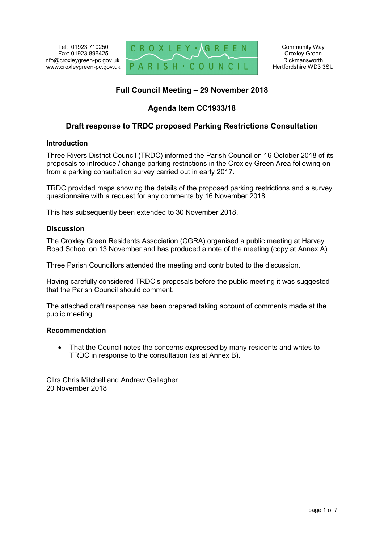Tel: 01923 710250 Fax: 01923 896425 info@croxleygreen-pc.gov.uk www.croxleygreen-pc.gov.uk



# **Full Council Meeting – 29 November 2018**

# **Agenda Item CC1933/18**

# **Draft response to TRDC proposed Parking Restrictions Consultation**

## **Introduction**

Three Rivers District Council (TRDC) informed the Parish Council on 16 October 2018 of its proposals to introduce / change parking restrictions in the Croxley Green Area following on from a parking consultation survey carried out in early 2017.

TRDC provided maps showing the details of the proposed parking restrictions and a survey questionnaire with a request for any comments by 16 November 2018.

This has subsequently been extended to 30 November 2018.

## **Discussion**

The Croxley Green Residents Association (CGRA) organised a public meeting at Harvey Road School on 13 November and has produced a note of the meeting (copy at Annex A).

Three Parish Councillors attended the meeting and contributed to the discussion.

Having carefully considered TRDC's proposals before the public meeting it was suggested that the Parish Council should comment.

The attached draft response has been prepared taking account of comments made at the public meeting.

#### **Recommendation**

 That the Council notes the concerns expressed by many residents and writes to TRDC in response to the consultation (as at Annex B).

Cllrs Chris Mitchell and Andrew Gallagher 20 November 2018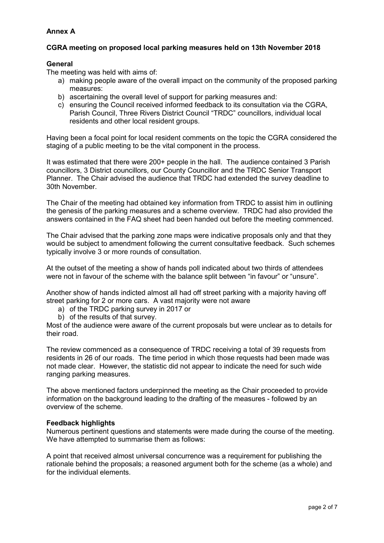## **Annex A**

## **CGRA meeting on proposed local parking measures held on 13th November 2018**

## **General**

The meeting was held with aims of:

- a) making people aware of the overall impact on the community of the proposed parking measures:
- b) ascertaining the overall level of support for parking measures and:
- c) ensuring the Council received informed feedback to its consultation via the CGRA, Parish Council, Three Rivers District Council "TRDC" councillors, individual local residents and other local resident groups.

Having been a focal point for local resident comments on the topic the CGRA considered the staging of a public meeting to be the vital component in the process.

It was estimated that there were 200+ people in the hall. The audience contained 3 Parish councillors, 3 District councillors, our County Councillor and the TRDC Senior Transport Planner. The Chair advised the audience that TRDC had extended the survey deadline to 30th November.

The Chair of the meeting had obtained key information from TRDC to assist him in outlining the genesis of the parking measures and a scheme overview. TRDC had also provided the answers contained in the FAQ sheet had been handed out before the meeting commenced.

The Chair advised that the parking zone maps were indicative proposals only and that they would be subject to amendment following the current consultative feedback. Such schemes typically involve 3 or more rounds of consultation.

At the outset of the meeting a show of hands poll indicated about two thirds of attendees were not in favour of the scheme with the balance split between "in favour" or "unsure".

Another show of hands indicted almost all had off street parking with a majority having off street parking for 2 or more cars. A vast majority were not aware

- a) of the TRDC parking survey in 2017 or
- b) of the results of that survey.

Most of the audience were aware of the current proposals but were unclear as to details for their road.

The review commenced as a consequence of TRDC receiving a total of 39 requests from residents in 26 of our roads. The time period in which those requests had been made was not made clear. However, the statistic did not appear to indicate the need for such wide ranging parking measures.

The above mentioned factors underpinned the meeting as the Chair proceeded to provide information on the background leading to the drafting of the measures - followed by an overview of the scheme.

#### **Feedback highlights**

Numerous pertinent questions and statements were made during the course of the meeting. We have attempted to summarise them as follows:

A point that received almost universal concurrence was a requirement for publishing the rationale behind the proposals; a reasoned argument both for the scheme (as a whole) and for the individual elements.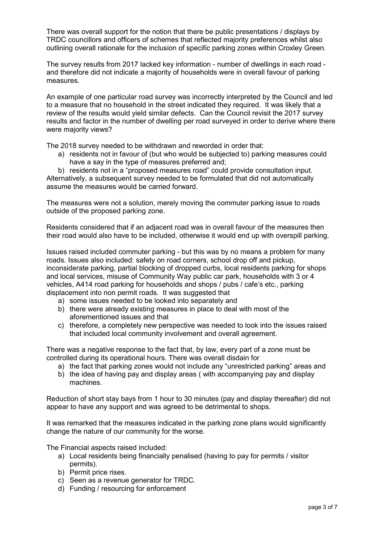There was overall support for the notion that there be public presentations / displays by TRDC councillors and officers of schemes that reflected majority preferences whilst also outlining overall rationale for the inclusion of specific parking zones within Croxley Green.

The survey results from 2017 lacked key information - number of dwellings in each road and therefore did not indicate a majority of households were in overall favour of parking measures.

An example of one particular road survey was incorrectly interpreted by the Council and led to a measure that no household in the street indicated they required. It was likely that a review of the results would yield similar defects. Can the Council revisit the 2017 survey results and factor in the number of dwelling per road surveyed in order to derive where there were majority views?

The 2018 survey needed to be withdrawn and reworded in order that:

a) residents not in favour of (but who would be subjected to) parking measures could have a say in the type of measures preferred and;

b) residents not in a "proposed measures road" could provide consultation input. Alternatively, a subsequent survey needed to be formulated that did not automatically assume the measures would be carried forward.

The measures were not a solution, merely moving the commuter parking issue to roads outside of the proposed parking zone.

Residents considered that if an adjacent road was in overall favour of the measures then their road would also have to be included, otherwise it would end up with overspill parking.

Issues raised included commuter parking - but this was by no means a problem for many roads. Issues also included: safety on road corners, school drop off and pickup, inconsiderate parking, partial blocking of dropped curbs, local residents parking for shops and local services, misuse of Community Way public car park, households with 3 or 4 vehicles, A414 road parking for households and shops / pubs / cafe's etc., parking displacement into non permit roads. It was suggested that

- a) some issues needed to be looked into separately and
- b) there were already existing measures in place to deal with most of the aforementioned issues and that
- c) therefore, a completely new perspective was needed to look into the issues raised that included local community involvement and overall agreement.

There was a negative response to the fact that, by law, every part of a zone must be controlled during its operational hours. There was overall disdain for

- a) the fact that parking zones would not include any "unrestricted parking" areas and
- b) the idea of having pay and display areas ( with accompanying pay and display machines.

Reduction of short stay bays from 1 hour to 30 minutes (pay and display thereafter) did not appear to have any support and was agreed to be detrimental to shops.

It was remarked that the measures indicated in the parking zone plans would significantly change the nature of our community for the worse.

The Financial aspects raised included:

- a) Local residents being financially penalised (having to pay for permits / visitor permits).
- b) Permit price rises.
- c) Seen as a revenue generator for TRDC.
- d) Funding / resourcing for enforcement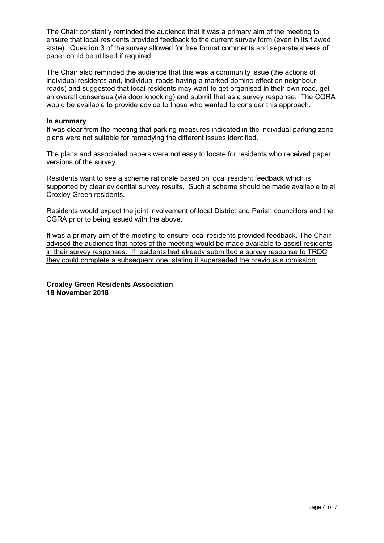The Chair constantly reminded the audience that it was a primary aim of the meeting to ensure that local residents provided feedback to the current survey form (even in its flawed state). Question 3 of the survey allowed for free format comments and separate sheets of paper could be utilised if required.

The Chair also reminded the audience that this was a community issue (the actions of individual residents and, individual roads having a marked domino effect on neighbour roads) and suggested that local residents may want to get organised in their own road, get an overall consensus (via door knocking) and submit that as a survey response. The CGRA would be available to provide advice to those who wanted to consider this approach.

#### **In summary**

It was clear from the meeting that parking measures indicated in the individual parking zone plans were not suitable for remedying the different issues identified.

The plans and associated papers were not easy to locate for residents who received paper versions of the survey.

Residents want to see a scheme rationale based on local resident feedback which is supported by clear evidential survey results. Such a scheme should be made available to all Croxley Green residents.

Residents would expect the joint involvement of local District and Parish councillors and the CGRA prior to being issued with the above.

It was a primary aim of the meeting to ensure local residents provided feedback. The Chair advised the audience that notes of the meeting would be made available to assist residents in their survey responses. If residents had already submitted a survey response to TRDC they could complete a subsequent one, stating it superseded the previous submission.

**Croxley Green Residents Association 18 November 2018**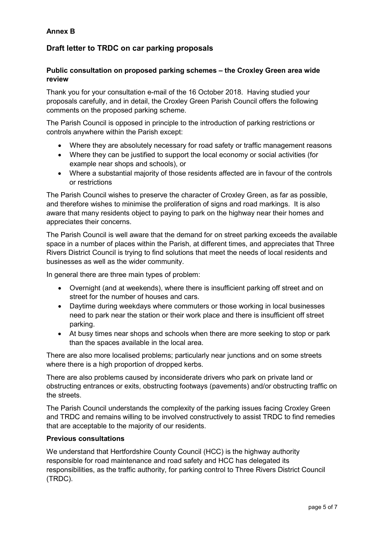## **Annex B**

# **Draft letter to TRDC on car parking proposals**

## **Public consultation on proposed parking schemes – the Croxley Green area wide review**

Thank you for your consultation e-mail of the 16 October 2018. Having studied your proposals carefully, and in detail, the Croxley Green Parish Council offers the following comments on the proposed parking scheme.

The Parish Council is opposed in principle to the introduction of parking restrictions or controls anywhere within the Parish except:

- Where they are absolutely necessary for road safety or traffic management reasons
- Where they can be justified to support the local economy or social activities (for example near shops and schools), or
- Where a substantial majority of those residents affected are in favour of the controls or restrictions

The Parish Council wishes to preserve the character of Croxley Green, as far as possible, and therefore wishes to minimise the proliferation of signs and road markings. It is also aware that many residents object to paying to park on the highway near their homes and appreciates their concerns.

The Parish Council is well aware that the demand for on street parking exceeds the available space in a number of places within the Parish, at different times, and appreciates that Three Rivers District Council is trying to find solutions that meet the needs of local residents and businesses as well as the wider community.

In general there are three main types of problem:

- Overnight (and at weekends), where there is insufficient parking off street and on street for the number of houses and cars.
- Daytime during weekdays where commuters or those working in local businesses need to park near the station or their work place and there is insufficient off street parking.
- At busy times near shops and schools when there are more seeking to stop or park than the spaces available in the local area.

There are also more localised problems; particularly near junctions and on some streets where there is a high proportion of dropped kerbs.

There are also problems caused by inconsiderate drivers who park on private land or obstructing entrances or exits, obstructing footways (pavements) and/or obstructing traffic on the streets.

The Parish Council understands the complexity of the parking issues facing Croxley Green and TRDC and remains willing to be involved constructively to assist TRDC to find remedies that are acceptable to the majority of our residents.

## **Previous consultations**

We understand that Hertfordshire County Council (HCC) is the highway authority responsible for road maintenance and road safety and HCC has delegated its responsibilities, as the traffic authority, for parking control to Three Rivers District Council (TRDC).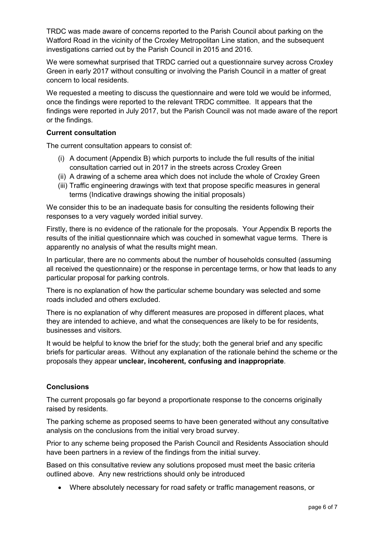TRDC was made aware of concerns reported to the Parish Council about parking on the Watford Road in the vicinity of the Croxley Metropolitan Line station, and the subsequent investigations carried out by the Parish Council in 2015 and 2016.

We were somewhat surprised that TRDC carried out a questionnaire survey across Croxley Green in early 2017 without consulting or involving the Parish Council in a matter of great concern to local residents.

We requested a meeting to discuss the questionnaire and were told we would be informed, once the findings were reported to the relevant TRDC committee. It appears that the findings were reported in July 2017, but the Parish Council was not made aware of the report or the findings.

## **Current consultation**

The current consultation appears to consist of:

- (i) A document (Appendix B) which purports to include the full results of the initial consultation carried out in 2017 in the streets across Croxley Green
- (ii) A drawing of a scheme area which does not include the whole of Croxley Green
- (iii) Traffic engineering drawings with text that propose specific measures in general terms (Indicative drawings showing the initial proposals)

We consider this to be an inadequate basis for consulting the residents following their responses to a very vaguely worded initial survey.

Firstly, there is no evidence of the rationale for the proposals. Your Appendix B reports the results of the initial questionnaire which was couched in somewhat vague terms. There is apparently no analysis of what the results might mean.

In particular, there are no comments about the number of households consulted (assuming all received the questionnaire) or the response in percentage terms, or how that leads to any particular proposal for parking controls.

There is no explanation of how the particular scheme boundary was selected and some roads included and others excluded.

There is no explanation of why different measures are proposed in different places, what they are intended to achieve, and what the consequences are likely to be for residents, businesses and visitors.

It would be helpful to know the brief for the study; both the general brief and any specific briefs for particular areas. Without any explanation of the rationale behind the scheme or the proposals they appear **unclear, incoherent, confusing and inappropriate**.

## **Conclusions**

The current proposals go far beyond a proportionate response to the concerns originally raised by residents.

The parking scheme as proposed seems to have been generated without any consultative analysis on the conclusions from the initial very broad survey.

Prior to any scheme being proposed the Parish Council and Residents Association should have been partners in a review of the findings from the initial survey.

Based on this consultative review any solutions proposed must meet the basic criteria outlined above. Any new restrictions should only be introduced

Where absolutely necessary for road safety or traffic management reasons, or